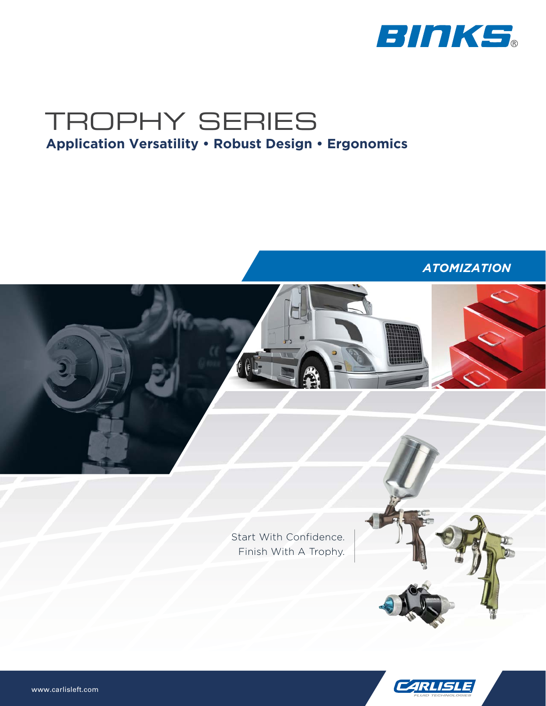

*ATOMIZATION*



Start With Confidence. Finish With A Trophy.



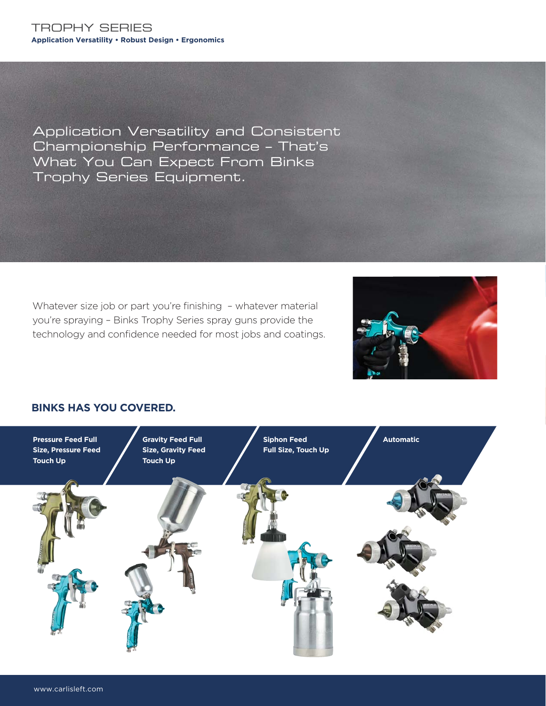Application Versatility and Consistent Championship Performance – That's What You Can Expect From Binks Trophy Series Equipment.

Whatever size job or part you're finishing - whatever material you're spraying – Binks Trophy Series spray guns provide the technology and confidence needed for most jobs and coatings.



## **BINKS HAS YOU COVERED.**

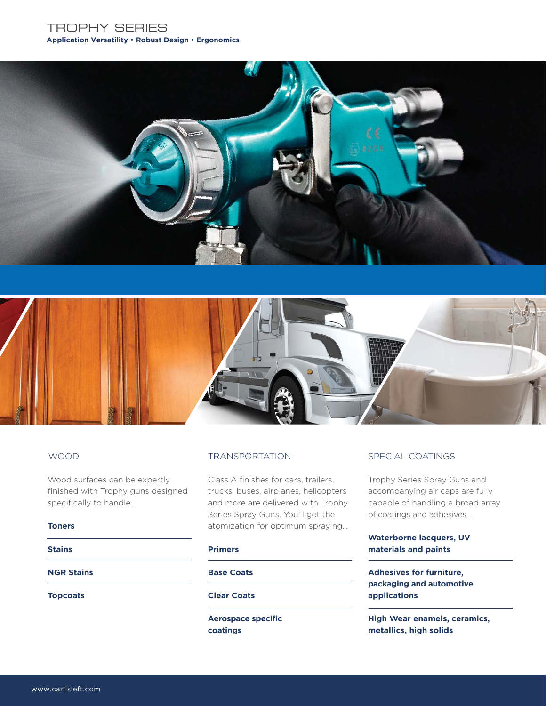



Wood surfaces can be expertly finished with Trophy guns designed specifically to handle…

#### **Toners**

#### **Stains**

**NGR Stains**

**Topcoats**

Class A finishes for cars, trailers, trucks, buses, airplanes, helicopters and more are delivered with Trophy Series Spray Guns. You'll get the atomization for optimum spraying…

#### **Primers**

#### **Base Coats**

### **Clear Coats**

**Aerospace specific coatings**

## WOOD **TRANSPORTATION** SPECIAL COATINGS

Trophy Series Spray Guns and accompanying air caps are fully capable of handling a broad array of coatings and adhesives…

## **Waterborne lacquers, UV materials and paints**

**Adhesives for furniture, packaging and automotive applications**

**High Wear enamels, ceramics, metallics, high solids**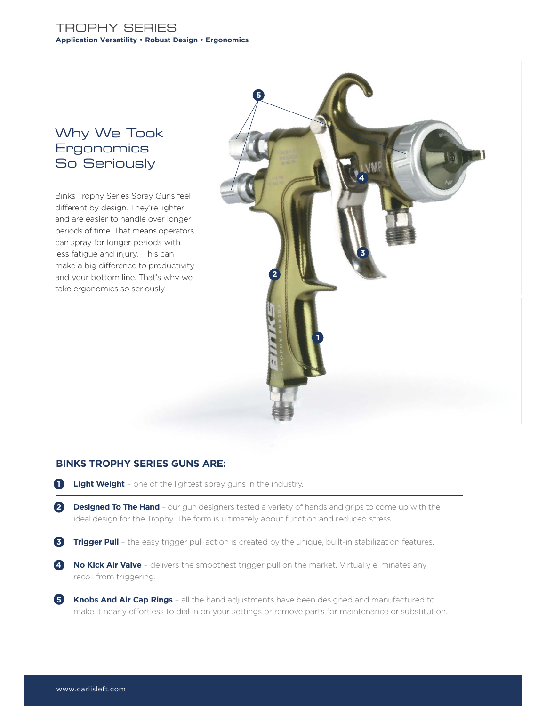## Why We Took **Ergonomics** So Seriously

Binks Trophy Series Spray Guns feel different by design. They're lighter and are easier to handle over longer periods of time. That means operators can spray for longer periods with less fatigue and injury. This can make a big difference to productivity and your bottom line. That's why we take ergonomics so seriously.



## **BINKS TROPHY SERIES GUNS ARE:**

- **1 Light Weight** one of the lightest spray guns in the industry.
- **2 Designed To The Hand** our gun designers tested a variety of hands and grips to come up with the ideal design for the Trophy. The form is ultimately about function and reduced stress.
- **3 Trigger Pull** the easy trigger pull action is created by the unique, built-in stabilization features.
- **4 No Kick Air Valve** delivers the smoothest trigger pull on the market. Virtually eliminates any recoil from triggering.
- **5 Knobs And Air Cap Rings** all the hand adjustments have been designed and manufactured to make it nearly effortless to dial in on your settings or remove parts for maintenance or substitution.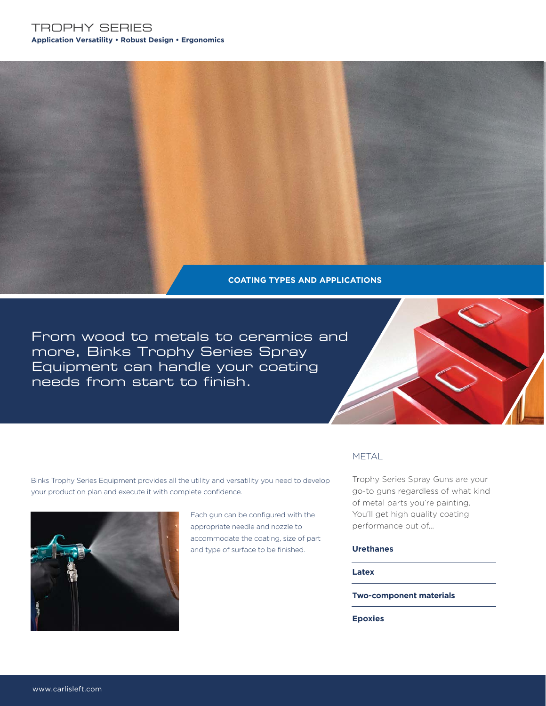**COATING TYPES AND APPLICATIONS**

From wood to metals to ceramics and more, Binks Trophy Series Spray Equipment can handle your coating needs from start to finish.



Binks Trophy Series Equipment provides all the utility and versatility you need to develop your production plan and execute it with complete confidence.



Each gun can be configured with the appropriate needle and nozzle to accommodate the coating, size of part and type of surface to be finished.

## METAL

Trophy Series Spray Guns are your go-to guns regardless of what kind of metal parts you're painting. You'll get high quality coating performance out of…

#### **Urethanes**

**Latex**

**Two-component materials** 

**Epoxies**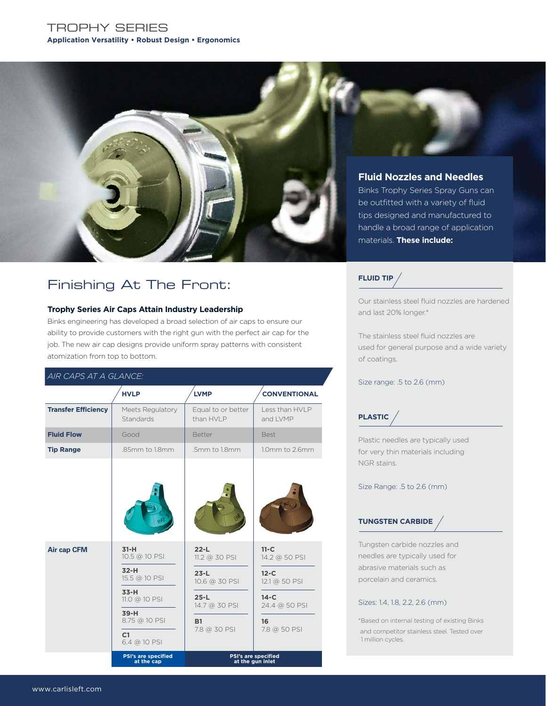

## Finishing At The Front:

#### **Trophy Series Air Caps Attain Industry Leadership**

Binks engineering has developed a broad selection of air caps to ensure our ability to provide customers with the right gun with the perfect air cap for the job. The new air cap designs provide uniform spray patterns with consistent atomization from top to bottom.

### *AIR CAPS AT A GLANCE:*

|                            | <b>HVLP</b>                                        | <b>LVMP</b>                         | <b>CONVENTIONAL</b>                     |  |
|----------------------------|----------------------------------------------------|-------------------------------------|-----------------------------------------|--|
| <b>Transfer Efficiency</b> | Meets Regulatory<br>Standards                      | Equal to or better<br>than HVI P    | Less than HVLP<br>and LVMP              |  |
| <b>Fluid Flow</b>          | Good                                               | <b>Better</b>                       | <b>Best</b>                             |  |
| <b>Tip Range</b>           | .85mm to 1.8mm                                     | .5mm to 1.8mm                       | 1.0mm to 2.6mm                          |  |
|                            |                                                    |                                     |                                         |  |
| <b>Air cap CFM</b>         | $31-H$<br>10.5 @ 10 PSI<br>$32-H$<br>15.5 @ 10 PSI | $22-L$<br>$11.2$ @ 30 PSI<br>$23-L$ | $11-C$<br>14.2 @ 50 PSI<br>$12-C$       |  |
|                            | $33-H$                                             | 10.6 @ 30 PSI                       | 12.1 @ 50 PSI                           |  |
|                            | $11.0 \text{ } @ 10$ PSI                           | $25-L$<br>14.7 @ 30 PSI             | $14-C$<br>24.4 @ 50 PSI                 |  |
|                            | $39-H$<br>8.75 @ 10 PSI<br>C1<br>6.4 @ 10 PSI      | <b>B1</b><br>7.8 @ 30 PSI           | 16<br>7.8 @ 50 PSI                      |  |
|                            | <b>PSI's are specified</b><br>at the cap           |                                     | PSI's are specified<br>at the gun inlet |  |

#### **FLUID TIP**

Our stainless steel fluid nozzles are hardened and last 20% longer.\*

The stainless steel fluid nozzles are used for general purpose and a wide variety of coatings.

#### Size range: .5 to 2.6 (mm)

**PLASTIC**

Plastic needles are typically used for very thin materials including NGR stains.

Size Range: .5 to 2.6 (mm)

## **TUNGSTEN CARBIDE**

Tungsten carbide nozzles and needles are typically used for abrasive materials such as porcelain and ceramics.

#### Sizes: 1.4, 1.8, 2.2, 2.6 (mm)

\*Based on internal testing of existing Binks and competitor stainless steel. Tested over 1 million cycles.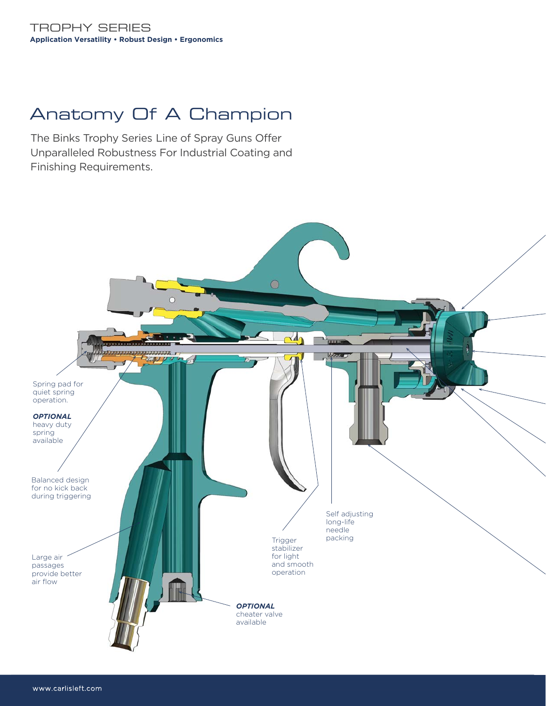# Anatomy Of A Champion

The Binks Trophy Series Line of Spray Guns Offer Unparalleled Robustness For Industrial Coating and Finishing Requirements.

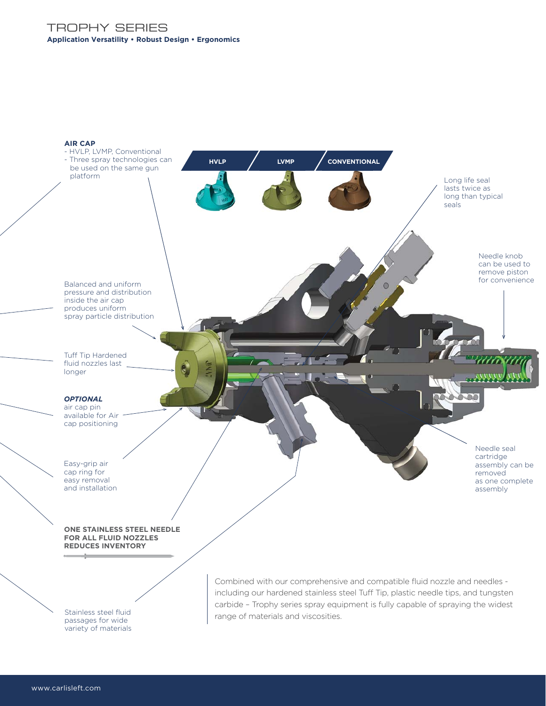

range of materials and viscosities.

Stainless steel fluid passages for wide variety of materials

www.carlisleft.com www.carlisleft.com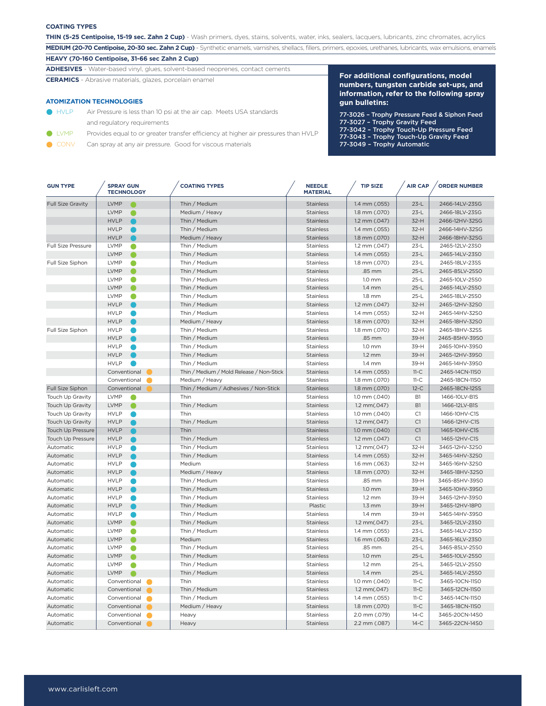#### **COATING TYPES**

**THIN (5-25 Centipoise, 15-19 sec. Zahn 2 Cup)** - Wash primers, dyes, stains, solvents, water, inks, sealers, lacquers, lubricants, zinc chromates, acrylics **MEDIUM (20-70 Centipoise, 20-30 sec. Zahn 2 Cup)** - Synthetic enamels, varnishes, shellacs, fillers, primers, epoxies, urethanes, lubricants, wax emulsions, enamels

**HEAVY (70-160 Centipoise, 31-66 sec Zahn 2 Cup)** 

**ADHESIVES** - Water-based vinyl, glues, solvent-based neoprenes, contact cements

**CERAMICS** - Abrasive materials, glazes, porcelain enamel

#### **ATOMIZATION TECHNOLOGIES**

- HVLP Air Pressure is less than 10 psi at the air cap. Meets USA standards and regulatory requirements
- **IVMP** Provides equal to or greater transfer efficiency at higher air pressures than HVLP
- CONV Can spray at any air pressure. Good for viscous materials

**For additional configurations, model numbers, tungsten carbide set-ups, and information, refer to the following spray gun bulletins:**

- 77-3026 Trophy Pressure Feed & Siphon Feed
- 77-3027 Trophy Gravity Feed
- 77-3042 Trophy Touch-Up Pressure Feed
- 77-3043 Trophy Touch-Up Gravity Feed
- 77-3049 Trophy Automatic

| <b>GUN TYPE</b>           | <b>SPRAY GUN</b><br><b>TECHNOLOGY</b> | <b>COATING TYPES</b>                     | <b>NEEDLE</b><br><b>MATERIAL</b> | <b>TIP SIZE</b>                | <b>AIR CAP</b> | <b>ORDER NUMBER</b> |
|---------------------------|---------------------------------------|------------------------------------------|----------------------------------|--------------------------------|----------------|---------------------|
| <b>Full Size Gravity</b>  | <b>LVMP</b>                           | Thin / Medium                            | Stainless                        | 1.4 mm (.055)                  | $23-L$         | 2466-14LV-23SG      |
|                           | <b>LVMP</b><br>●                      | Medium / Heavy                           | <b>Stainless</b>                 | 1.8 mm (.070)                  | $23-L$         | 2466-18LV-23SG      |
|                           | <b>HVLP</b>                           | Thin / Medium                            | <b>Stainless</b>                 | 1.2 mm (.047)                  | $32-H$         | 2466-12HV-32SG      |
|                           | <b>HVLP</b>                           | Thin / Medium                            | <b>Stainless</b>                 | 1.4 mm (.055)                  | $32-H$         | 2466-14HV-32SG      |
|                           | <b>HVLP</b>                           | Medium / Heavy                           | <b>Stainless</b>                 | 1.8 mm (.070)                  | $32-H$         | 2466-18HV-32SG      |
| <b>Full Size Pressure</b> | <b>LVMP</b>                           | Thin / Medium                            | Stainless                        | 1.2 mm (.047)                  | $23-L$         | 2465-12LV-23SO      |
|                           | <b>LVMP</b><br>●                      | Thin / Medium                            | <b>Stainless</b>                 | 1.4 mm (.055)                  | $23-L$         | 2465-14LV-23S0      |
| Full Size Siphon          | <b>LVMP</b><br>O                      | Thin / Medium                            | Stainless                        | 1.8 mm (.070)                  | $23-L$         | 2465-18LV-23SS      |
|                           | <b>LVMP</b>                           | Thin / Medium                            | <b>Stainless</b>                 | .85 mm                         | $25-L$         | 2465-85LV-25S0      |
|                           | <b>LVMP</b><br>O                      | Thin / Medium                            | Stainless                        | $1.0 \text{ mm}$               | $25-L$         | 2465-10LV-25S0      |
|                           | <b>LVMP</b>                           | Thin / Medium                            | <b>Stainless</b>                 | $1.4 \text{ mm}$               | $25-L$         | 2465-14LV-25S0      |
|                           | <b>LVMP</b><br>O                      | Thin / Medium                            | Stainless                        | $1.8$ mm                       | $25-L$         | 2465-18LV-25S0      |
|                           | <b>HVLP</b>                           | Thin / Medium                            | <b>Stainless</b>                 | 1.2 mm (.047)                  | $32-H$         | 2465-12HV-32SO      |
|                           | <b>HVLP</b>                           | Thin / Medium                            | Stainless                        | 1.4 mm (.055)                  | 32-H           | 2465-14HV-32S0      |
|                           | <b>HVLP</b>                           | Medium / Heavy                           | Stainless                        | 1.8 mm (.070)                  | $32-H$         | 2465-18HV-32SO      |
| Full Size Siphon          | <b>HVLP</b><br>r.                     | Thin / Medium                            | Stainless                        | 1.8 mm (.070)                  | $32-H$         | 2465-18HV-32SS      |
|                           | <b>HVLP</b>                           | Thin / Medium                            | <b>Stainless</b>                 | .85 mm                         | 39-H           | 2465-85HV-39S0      |
|                           | <b>HVLP</b>                           | Thin / Medium                            | Stainless                        | 1.0 mm                         | 39-H           | 2465-10HV-39S0      |
|                           | <b>HVLP</b>                           | Thin / Medium                            | Stainless                        | $1.2 \text{ mm}$               | 39-H           | 2465-12HV-39S0      |
|                           | <b>HVLP</b>                           | Thin / Medium                            | Stainless                        | $1.4 \text{ mm}$               | 39-H           | 2465-14HV-39S0      |
|                           | Conventional                          | Thin / Medium / Mold Release / Non-Stick | <b>Stainless</b>                 | 1.4 mm (.055)                  | $11-C$         | 2465-14CN-11SO      |
|                           | Conventional                          | Medium / Heavy                           | Stainless                        | 1.8 mm (.070)                  | $11-C$         | 2465-18CN-11SO      |
| Full Size Siphon          | Conventional                          | Thin / Medium / Adhesives / Non-Stick    | <b>Stainless</b>                 | 1.8 mm (.070)                  | $12-C$         | 2465-18CN-12SS      |
| Touch Up Gravity          | <b>LVMP</b>                           | Thin                                     | Stainless                        | 1.0 mm (.040)                  | B <sub>1</sub> | 1466-10LV-B1S       |
| Touch Up Gravity          | <b>LVMP</b><br>●                      | Thin / Medium                            | Stainless                        | 1.2 mm(.047)                   | B1             | 1466-12LV-B1S       |
| Touch Up Gravity          | <b>HVLP</b>                           | Thin                                     | Stainless                        | 1.0 mm (.040)                  | C1             | 1466-10HV-C1S       |
| <b>Touch Up Gravity</b>   | <b>HVLP</b>                           | Thin / Medium                            | Stainless                        | $1.2$ mm $(.047)$              | C1             | 1466-12HV-C1S       |
| <b>Touch Up Pressure</b>  | <b>HVLP</b>                           | Thin                                     | <b>Stainless</b>                 | 1.0 mm (.040)                  | C1             | 1465-10HV-C1S       |
| <b>Touch Up Pressure</b>  | <b>HVLP</b>                           | Thin / Medium                            | Stainless                        | 1.2 mm (.047)                  | C1             | 1465-12HV-C1S       |
| Automatic                 | <b>HVLP</b>                           | Thin / Medium                            | Stainless                        | 1.2 mm(.047)                   | 32-H           | 3465-12HV-32SO      |
| Automatic                 | <b>HVLP</b>                           | Thin / Medium                            | <b>Stainless</b>                 | 1.4 mm (.055)                  | $32-H$         | 3465-14HV-32SO      |
| Automatic                 | <b>HVLP</b>                           | Medium                                   | Stainless                        | 1.6 mm (.063)                  | $32-H$         | 3465-16HV-32SO      |
| Automatic                 | <b>HVLP</b>                           | Medium / Heavy                           | Stainless                        | 1.8 mm (.070)                  | $32-H$         | 3465-18HV-32SO      |
| Automatic                 | <b>HVLP</b>                           | Thin / Medium                            | Stainless                        | .85 mm                         | 39-H           | 3465-85HV-39SO      |
| Automatic                 | <b>HVLP</b>                           | Thin / Medium                            | <b>Stainless</b>                 | $1.0$ mm                       | 39-H           | 3465-10HV-39S0      |
| Automatic                 | <b>HVLP</b>                           | Thin / Medium                            | Stainless                        | $1.2 \text{ mm}$               | 39-H           | 3465-12HV-39SO      |
| Automatic                 | <b>HVLP</b>                           | Thin / Medium                            | Plastic                          | $1.3$ mm                       | 39-H           | 3465-12HV-18PO      |
| Automatic                 | <b>HVLP</b>                           | Thin / Medium                            | Stainless                        | $1.4 \text{ mm}$               | 39-H           | 3465-14HV-39S0      |
| Automatic                 | <b>LVMP</b>                           | Thin / Medium                            | <b>Stainless</b>                 | 1.2 mm(.047)                   | $23-L$         | 3465-12LV-23SO      |
| Automatic                 | <b>LVMP</b><br>œ                      | Thin / Medium                            | Stainless                        | 1.4 mm (.055)                  | $23-L$         | 3465-14LV-23S0      |
| Automatic                 | <b>LVMP</b>                           | Medium                                   | Stainless                        | 1.6 mm (.063)                  | $23-L$         | 3465-16LV-23S0      |
| Automatic                 | <b>LVMP</b><br>O                      | Thin / Medium                            | Stainless                        | .85 mm                         | $25-L$         | 3465-85LV-25S0      |
| Automatic                 | <b>LVMP</b>                           | Thin / Medium                            | Stainless                        | $1.0$ mm                       | $25-L$         | 3465-10LV-25S0      |
| Automatic                 | <b>LVMP</b><br>e                      | Thin / Medium                            | Stainless                        | $1.2 \text{ mm}$               | $25-L$         | 3465-12LV-25S0      |
| Automatic                 | <b>LVMP</b>                           | Thin / Medium                            | Stainless                        | $1.4$ mm                       | $25-L$         | 3465-14LV-25S0      |
| Automatic                 | Conventional                          | Thin                                     | Stainless                        | 1.0 mm (.040)                  | $11-C$         | 3465-10CN-11SO      |
| Automatic                 | Conventional                          | Thin / Medium                            | Stainless                        | $1.2$ mm $(.047)$              | $11-C$         | 3465-12CN-11SO      |
| Automatic                 |                                       | Thin / Medium                            | Stainless                        |                                |                | 3465-14CN-11SO      |
| Automatic                 | Conventional<br>Conventional          | Medium / Heavy                           | <b>Stainless</b>                 | 1.4 mm (.055)<br>1.8 mm (.070) | 11-C<br>$11-C$ | 3465-18CN-11SO      |
| Automatic                 | Conventional                          |                                          | Stainless                        |                                | $14-C$         | 3465-20CN-14S0      |
| Automatic                 | Conventional                          | Heavy                                    | <b>Stainless</b>                 | 2.0 mm (.079)<br>2.2 mm (.087) | $14-C$         | 3465-22CN-14SO      |
|                           |                                       | Heavy                                    |                                  |                                |                |                     |